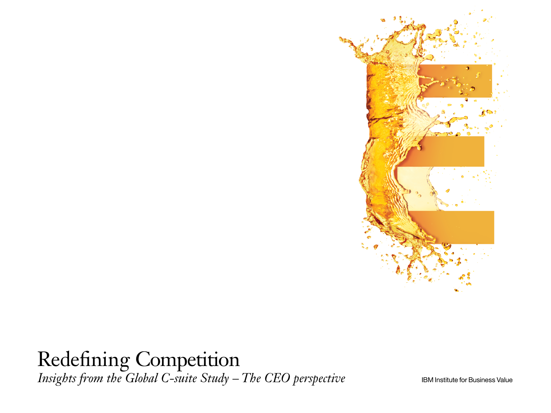

# Redefining Competition *Insights from the Global C-suite Study – The CEO perspective* IBM Institute for Business Value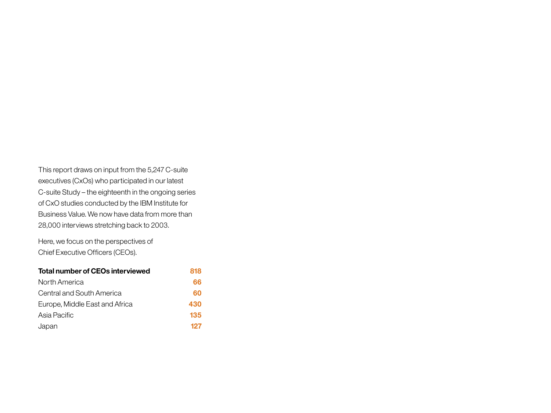This report draws on input from the 5,247 C-suite executives (CxOs) who participated in our latest C-suite Study – the eighteenth in the ongoing series of CxO studies conducted by the IBM Institute for Business Value. We now have data from more than 28,000 interviews stretching back to 2003.

Here, we focus on the perspectives of Chief Executive Officers (CEOs).

| Total number of CEOs interviewed | 818 |
|----------------------------------|-----|
| North America                    | 66  |
| Central and South America        | 60  |
| Europe, Middle East and Africa   | 430 |
| Asia Pacific                     | 135 |
| Japan                            | 127 |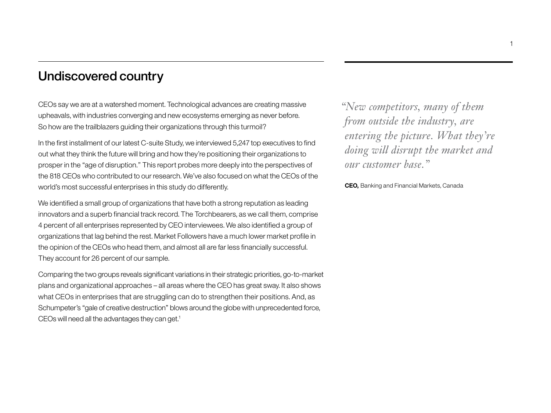## Undiscovered country

CEOs say we are at a watershed moment. Technological advances are creating massive upheavals, with industries converging and new ecosystems emerging as never before. So how are the trailblazers guiding their organizations through this turmoil?

In the first installment of our latest C-suite Study, we interviewed 5,247 top executives to find out what they think the future will bring and how they're positioning their organizations to prosper in the "age of disruption." This report probes more deeply into the perspectives of the 818 CEOs who contributed to our research. We've also focused on what the CEOs of the world's most successful enterprises in this study do differently.

We identified a small group of organizations that have both a strong reputation as leading innovators and a superb financial track record. The Torchbearers, as we call them, comprise 4 percent of all enterprises represented by CEO interviewees. We also identified a group of organizations that lag behind the rest. Market Followers have a much lower market profile in the opinion of the CEOs who head them, and almost all are far less financially successful. They account for 26 percent of our sample.

Comparing the two groups reveals significant variations in their strategic priorities, go-to-market plans and organizational approaches – all areas where the CEO has great sway. It also shows what CEOs in enterprises that are struggling can do to strengthen their positions. And, as Schumpeter's "gale of creative destruction" blows around the globe with unprecedented force, CEOs will need all the advantages they can get.<sup>1</sup>

*"New competitors, many of them from outside the industry, are entering the picture. What they're doing will disrupt the market and our customer base."*

**CEO,** Banking and Financial Markets, Canada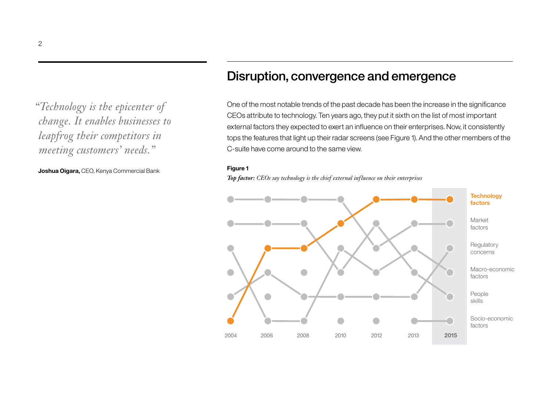*"Technology is the epicenter of change. It enables businesses to leapfrog their competitors in meeting customers' needs."*

**Joshua Oigara,** CEO, Kenya Commercial Bank **Figure 1**

## Disruption, convergence and emergence

One of the most notable trends of the past decade has been the increase in the significance CEOs attribute to technology. Ten years ago, they put it sixth on the list of most important external factors they expected to exert an influence on their enterprises. Now, it consistently tops the features that light up their radar screens (see Figure 1). And the other members of the C-suite have come around to the same view.

*Top factor: CEOs say technology is the chief external influence on their enterprises*

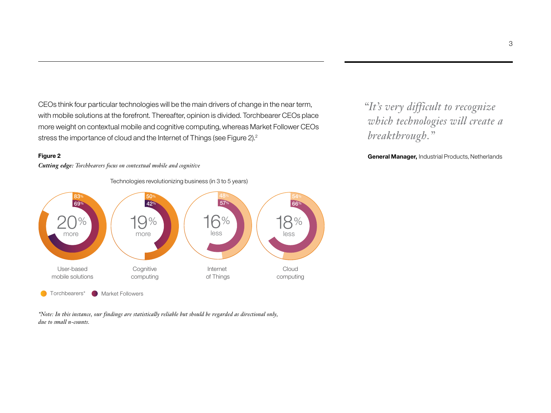CEOs think four particular technologies will be the main drivers of change in the near term, with mobile solutions at the forefront. Thereafter, opinion is divided. Torchbearer CEOs place more weight on contextual mobile and cognitive computing, whereas Market Follower CEOs stress the importance of cloud and the Internet of Things (see Figure 2).<sup>2</sup>

### **Figure 2**

*Cutting edge: Torchbearers focus on contextual mobile and cognitive*



*\*Note: In this instance, our findings are statistically reliable but should be regarded as directional only, due to small n-counts.*

*"It's very difficult to recognize which technologies will create a breakthrough."*

**General Manager,** Industrial Products, Netherlands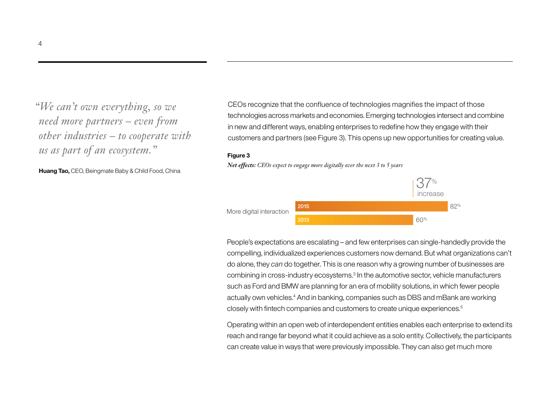*"We can't own everything, so we need more partners – even from other industries – to cooperate with us as part of an ecosystem."*

**Huang Tao,** CEO, Beingmate Baby & Child Food, China

CEOs recognize that the confluence of technologies magnifies the impact of those technologies across markets and economies. Emerging technologies intersect and combine in new and different ways, enabling enterprises to redefine how they engage with their customers and partners (see Figure 3). This opens up new opportunities for creating value.

#### **Figure 3**

*Net effects: CEOs expect to engage more digitally over the next 3 to 5 years*



People's expectations are escalating – and few enterprises can single-handedly provide the compelling, individualized experiences customers now demand. But what organizations can't do alone, they *can* do together. This is one reason why a growing number of businesses are combining in cross-industry ecosystems.3 In the automotive sector, vehicle manufacturers such as Ford and BMW are planning for an era of mobility solutions, in which fewer people actually own vehicles.<sup>4</sup> And in banking, companies such as DBS and mBank are working closely with fintech companies and customers to create unique experiences.5

Operating within an open web of interdependent entities enables each enterprise to extend its reach and range far beyond what it could achieve as a solo entity. Collectively, the participants can create value in ways that were previously impossible. They can also get much more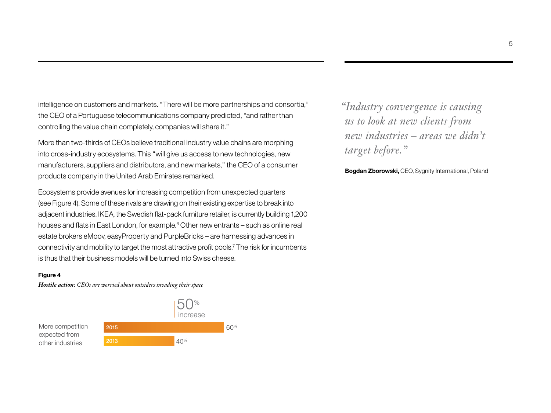intelligence on customers and markets. "There will be more partnerships and consortia," the CEO of a Portuguese telecommunications company predicted, "and rather than controlling the value chain completely, companies will share it."

More than two-thirds of CEOs believe traditional industry value chains are morphing into cross-industry ecosystems. This "will give us access to new technologies, new manufacturers, suppliers and distributors, and new markets," the CEO of a consumer products company in the United Arab Emirates remarked.

Ecosystems provide avenues for increasing competition from unexpected quarters (see Figure 4). Some of these rivals are drawing on their existing expertise to break into adjacent industries. IKEA, the Swedish flat-pack furniture retailer, is currently building 1,200 houses and flats in East London, for example.<sup>6</sup> Other new entrants – such as online real estate brokers eMoov, easyProperty and PurpleBricks – are harnessing advances in connectivity and mobility to target the most attractive profit pools.7 The risk for incumbents is thus that their business models will be turned into Swiss cheese.

#### **Figure 4**

*Hostile action: CEOs are worried about outsiders invading their space*



*"Industry convergence is causing us to look at new clients from new industries – areas we didn't target before."*

**Bogdan Zborowski,** CEO, Sygnity International, Poland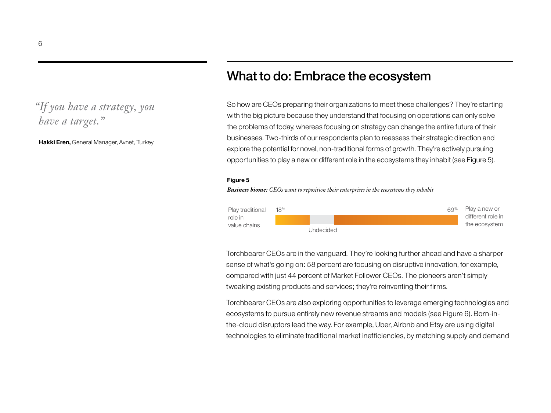### *"If you have a strategy, you have a target."*

**Hakki Eren,** General Manager, Avnet, Turkey

### What to do: Embrace the ecosystem

So how are CEOs preparing their organizations to meet these challenges? They're starting with the big picture because they understand that focusing on operations can only solve the problems of today, whereas focusing on strategy can change the entire future of their businesses. Two-thirds of our respondents plan to reassess their strategic direction and explore the potential for novel, non-traditional forms of growth. They're actively pursuing opportunities to play a new or different role in the ecosystems they inhabit (see Figure 5).

#### **Figure 5**

*Business biome: CEOs want to reposition their enterprises in the ecosystems they inhabit*



Torchbearer CEOs are in the vanguard. They're looking further ahead and have a sharper sense of what's going on: 58 percent are focusing on disruptive innovation, for example, compared with just 44 percent of Market Follower CEOs. The pioneers aren't simply tweaking existing products and services; they're reinventing their firms.

Torchbearer CEOs are also exploring opportunities to leverage emerging technologies and ecosystems to pursue entirely new revenue streams and models (see Figure 6). Born-inthe-cloud disruptors lead the way. For example, Uber, Airbnb and Etsy are using digital technologies to eliminate traditional market inefficiencies, by matching supply and demand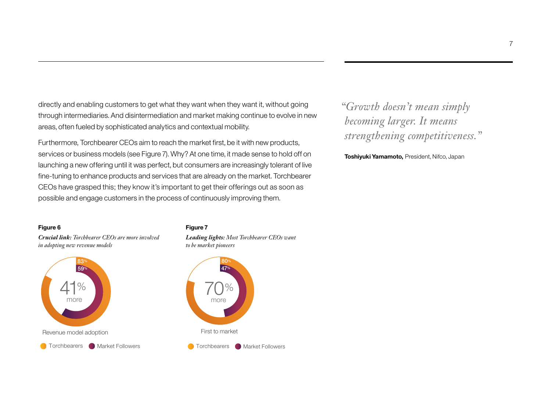directly and enabling customers to get what they want when they want it, without going through intermediaries. And disintermediation and market making continue to evolve in new areas, often fueled by sophisticated analytics and contextual mobility.

Furthermore, Torchbearer CEOs aim to reach the market first, be it with new products, services or business models (see Figure 7). Why? At one time, it made sense to hold off on launching a new offering until it was perfect, but consumers are increasingly tolerant of live fine-tuning to enhance products and services that are already on the market. Torchbearer CEOs have grasped this; they know it's important to get their offerings out as soon as possible and engage customers in the process of continuously improving them.

## *"Growth doesn't mean simply becoming larger. It means strengthening competitiveness."*

**Toshiyuki Yamamoto,** President, Nifco, Japan

### **Figure 6**

*Crucial link: Torchbearer CEOs are more involved in adopting new revenue models*



### **Figure 7**

*Leading lights: Most Torchbearer CEOs want to be market pioneers*



7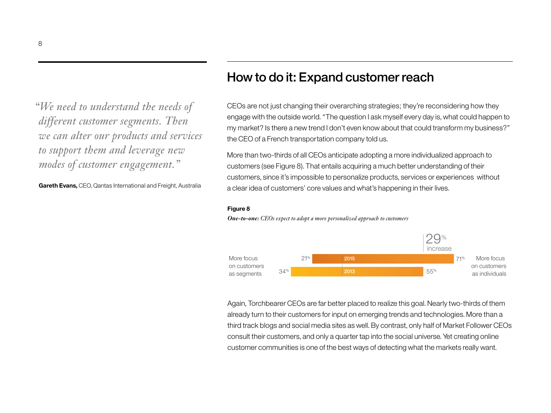*"We need to understand the needs of different customer segments. Then we can alter our products and services to support them and leverage new modes of customer engagement."*

**Gareth Evans,** CEO, Qantas International and Freight, Australia

### How to do it: Expand customer reach

CEOs are not just changing their overarching strategies; they're reconsidering how they engage with the outside world. "The question I ask myself every day is, what could happen to my market? Is there a new trend I don't even know about that could transform my business?" the CEO of a French transportation company told us.

More than two-thirds of all CEOs anticipate adopting a more individualized approach to customers (see Figure 8). That entails acquiring a much better understanding of their customers, since it's impossible to personalize products, services or experiences without a clear idea of customers' core values and what's happening in their lives.

#### **Figure 8**

![](_page_9_Figure_6.jpeg)

![](_page_9_Figure_7.jpeg)

Again, Torchbearer CEOs are far better placed to realize this goal. Nearly two-thirds of them already turn to their customers for input on emerging trends and technologies. More than a third track blogs and social media sites as well. By contrast, only half of Market Follower CEOs consult their customers, and only a quarter tap into the social universe. Yet creating online customer communities is one of the best ways of detecting what the markets really want.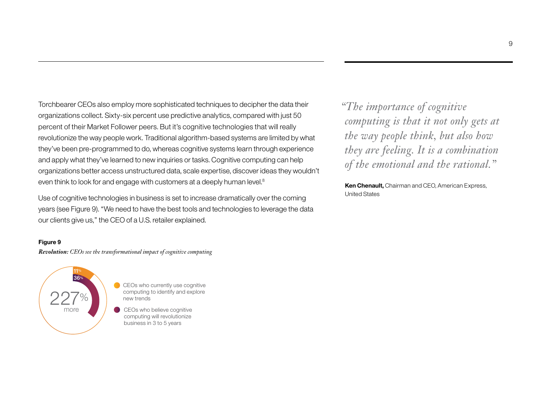Torchbearer CEOs also employ more sophisticated techniques to decipher the data their organizations collect. Sixty-six percent use predictive analytics, compared with just 50 percent of their Market Follower peers. But it's cognitive technologies that will really revolutionize the way people work. Traditional algorithm-based systems are limited by what they've been pre-programmed to do, whereas cognitive systems learn through experience and apply what they've learned to new inquiries or tasks. Cognitive computing can help organizations better access unstructured data, scale expertise, discover ideas they wouldn't even think to look for and engage with customers at a deeply human level.<sup>8</sup>

Use of cognitive technologies in business is set to increase dramatically over the coming years (see Figure 9). "We need to have the best tools and technologies to leverage the data our clients give us," the CEO of a U.S. retailer explained.

### **Figure 9**

*Revolution: CEOs see the transformational impact of cognitive computing*

![](_page_10_Figure_4.jpeg)

CEOs who currently use cognitive computing to identify and explore new trends

CEOs who believe cognitive computing will revolutionize business in 3 to 5 years

*"The importance of cognitive computing is that it not only gets at the way people think, but also how they are feeling. It is a combination of the emotional and the rational."*

**Ken Chenault,** Chairman and CEO, American Express, United States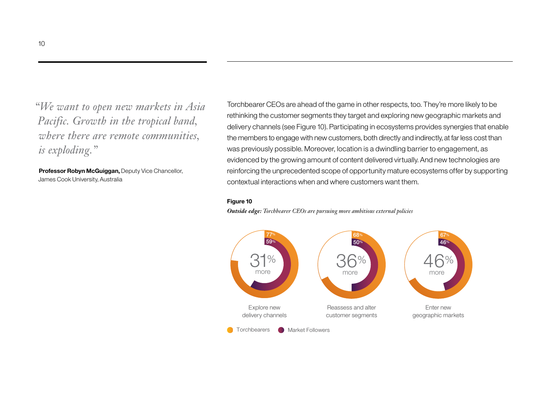*"We want to open new markets in Asia Pacific. Growth in the tropical band, where there are remote communities, is exploding."*

**Professor Robyn McGuiggan,** Deputy Vice Chancellor, James Cook University, Australia

Torchbearer CEOs are ahead of the game in other respects, too. They're more likely to be rethinking the customer segments they target and exploring new geographic markets and delivery channels (see Figure 10). Participating in ecosystems provides synergies that enable the members to engage with new customers, both directly and indirectly, at far less cost than was previously possible. Moreover, location is a dwindling barrier to engagement, as evidenced by the growing amount of content delivered virtually. And new technologies are reinforcing the unprecedented scope of opportunity mature ecosystems offer by supporting contextual interactions when and where customers want them.

#### **Figure 10**

*Outside edge: Torchbearer CEOs are pursuing more ambitious external policies*

![](_page_11_Figure_5.jpeg)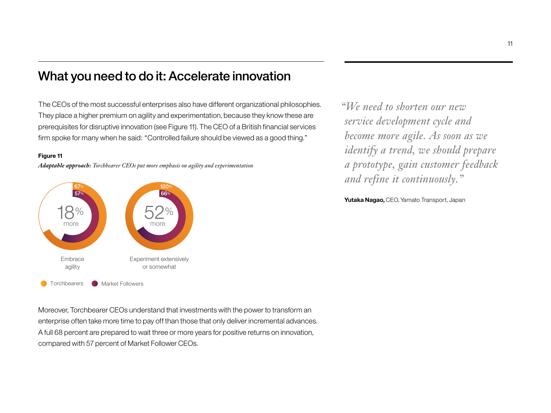### What you need to do it: Accelerate innovation

The CEOs of the most successful enterprises also have different organizational philosophies. They place a higher premium on agility and experimentation, because they know these are prerequisites for disruptive innovation (see Figure 11). The CEO of a British financial services firm spoke for many when he said: "Controlled failure should be viewed as a good thing."

### **Figure 11**

*Adaptable approach: Torchbearer CEOs put more emphasis on agility and experimentation*

![](_page_12_Figure_4.jpeg)

*"We need to shorten our new service development cycle and become more agile. As soon as we identify a trend, we should prepare a prototype, gain customer feedback and refine it continuously."* 

**Yutaka Nagao,** CEO, Yamato Transport, Japan

Moreover, Torchbearer CEOs understand that investments with the power to transform an enterprise often take more time to pay off than those that only deliver incremental advances. A full 68 percent are prepared to wait three or more years for positive returns on innovation, compared with 57 percent of Market Follower CEOs.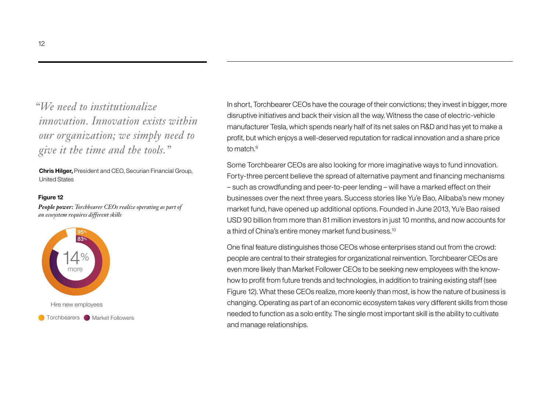*"We need to institutionalize innovation. Innovation exists within our organization; we simply need to give it the time and the tools."*

**Chris Hilger,** President and CEO, Securian Financial Group, United States

#### **Figure 12**

*People power: Torchbearer CEOs realize operating as part of an ecosystem requires different skills*

![](_page_13_Figure_4.jpeg)

In short, Torchbearer CEOs have the courage of their convictions; they invest in bigger, more disruptive initiatives and back their vision all the way. Witness the case of electric-vehicle manufacturer Tesla, which spends nearly half of its net sales on R&D and has yet to make a profit, but which enjoys a well-deserved reputation for radical innovation and a share price to match.<sup>9</sup>

Some Torchbearer CEOs are also looking for more imaginative ways to fund innovation. Forty-three percent believe the spread of alternative payment and financing mechanisms – such as crowdfunding and peer-to-peer lending – will have a marked effect on their businesses over the next three years. Success stories like Yu'e Bao, Alibaba's new money market fund, have opened up additional options. Founded in June 2013, Yu'e Bao raised USD 90 billion from more than 81 million investors in just 10 months, and now accounts for a third of China's entire money market fund business.<sup>10</sup>

One final feature distinguishes those CEOs whose enterprises stand out from the crowd: people are central to their strategies for organizational reinvention. Torchbearer CEOs are even more likely than Market Follower CEOs to be seeking new employees with the knowhow to profit from future trends and technologies, in addition to training existing staff (see Figure 12). What these CEOs realize, more keenly than most, is how the nature of business is changing. Operating as part of an economic ecosystem takes very different skills from those needed to function as a solo entity. The single most important skill is the ability to cultivate and manage relationships.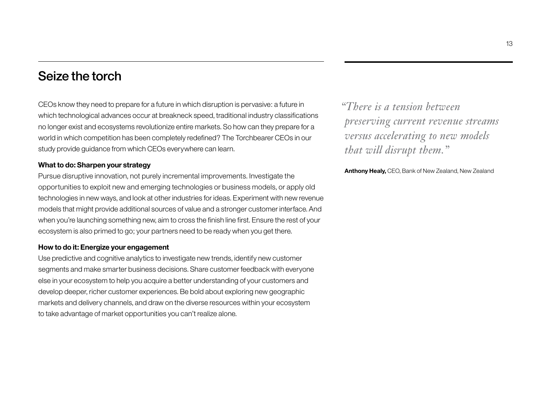### Seize the torch

CEOs know they need to prepare for a future in which disruption is pervasive: a future in which technological advances occur at breakneck speed, traditional industry classifications no longer exist and ecosystems revolutionize entire markets. So how can they prepare for a world in which competition has been completely redefined? The Torchbearer CEOs in our study provide guidance from which CEOs everywhere can learn.

### **What to do: Sharpen your strategy**

Pursue disruptive innovation, not purely incremental improvements. Investigate the opportunities to exploit new and emerging technologies or business models, or apply old technologies in new ways, and look at other industries for ideas. Experiment with new revenue models that might provide additional sources of value and a stronger customer interface. And when you're launching something new, aim to cross the finish line first. Ensure the rest of your ecosystem is also primed to go; your partners need to be ready when you get there.

### **How to do it: Energize your engagement**

Use predictive and cognitive analytics to investigate new trends, identify new customer segments and make smarter business decisions. Share customer feedback with everyone else in your ecosystem to help you acquire a better understanding of your customers and develop deeper, richer customer experiences. Be bold about exploring new geographic markets and delivery channels, and draw on the diverse resources within your ecosystem to take advantage of market opportunities you can't realize alone.

*"There is a tension between preserving current revenue streams versus accelerating to new models that will disrupt them."*

**Anthony Healy,** CEO, Bank of New Zealand, New Zealand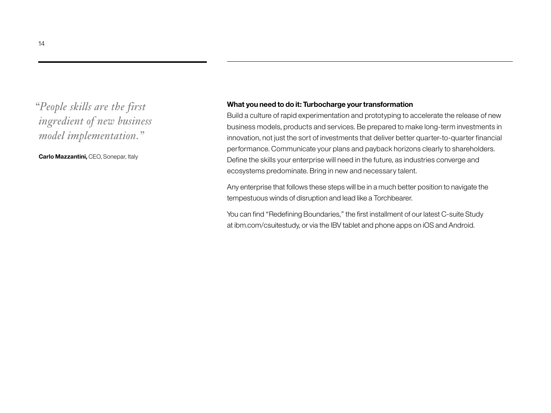## *"People skills are the first ingredient of new business model implementation."*

**Carlo Mazzantini,** CEO, Sonepar, Italy

### **What you need to do it: Turbocharge your transformation**

Build a culture of rapid experimentation and prototyping to accelerate the release of new business models, products and services. Be prepared to make long-term investments in innovation, not just the sort of investments that deliver better quarter-to-quarter financial performance. Communicate your plans and payback horizons clearly to shareholders. Define the skills your enterprise will need in the future, as industries converge and ecosystems predominate. Bring in new and necessary talent.

Any enterprise that follows these steps will be in a much better position to navigate the tempestuous winds of disruption and lead like a Torchbearer.

You can find "Redefining Boundaries," the first installment of our latest C-suite Study at ibm.com/csuitestudy, or via the IBV tablet and phone apps on iOS and Android.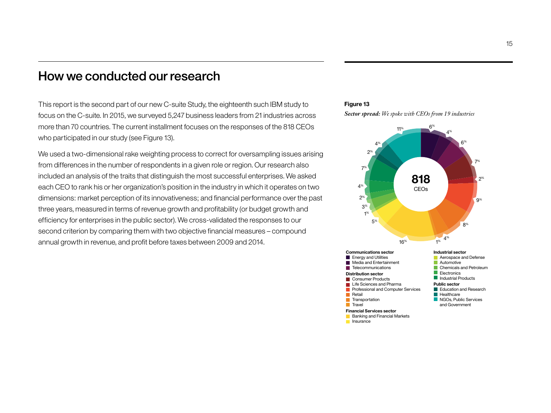### How we conducted our research

This report is the second part of our new C-suite Study, the eighteenth such IBM study to focus on the C-suite. In 2015, we surveyed 5,247 business leaders from 21 industries across more than 70 countries. The current installment focuses on the responses of the 818 CEOs who participated in our study (see Figure 13).

We used a two-dimensional rake weighting process to correct for oversampling issues arising from differences in the number of respondents in a given role or region. Our research also included an analysis of the traits that distinguish the most successful enterprises. We asked each CEO to rank his or her organization's position in the industry in which it operates on two dimensions: market perception of its innovativeness; and financial performance over the past three years, measured in terms of revenue growth and profitability (or budget growth and efficiency for enterprises in the public sector). We cross-validated the responses to our second criterion by comparing them with two objective financial measures – compound annual growth in revenue, and profit before taxes between 2009 and 2014.

### **Figure 13**

*Sector spread: We spoke with CEOs from 19 industries*

![](_page_16_Figure_5.jpeg)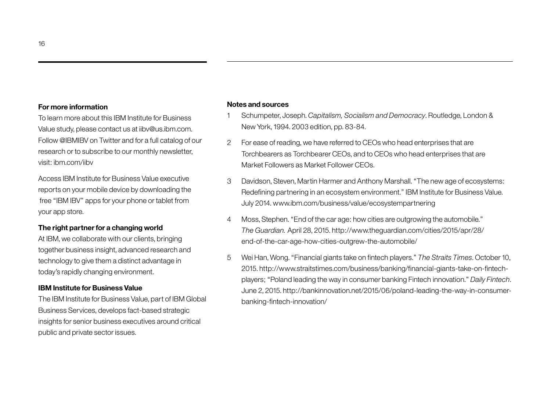#### **For more information**

To learn more about this IBM Institute for Business Value study, please contact us at iibv@us.ibm.com. Follow @IBMIBV on Twitter and for a full catalog of our research or to subscribe to our monthly newsletter, visit: ibm.com/iibv

Access IBM Institute for Business Value executive reports on your mobile device by downloading the free "IBM IBV" apps for your phone or tablet from your app store.

### **The right partner for a changing world**

At IBM, we collaborate with our clients, bringing together business insight, advanced research and technology to give them a distinct advantage in today's rapidly changing environment.

### **IBM Institute for Business Value**

The IBM Institute for Business Value, part of IBM Global Business Services, develops fact-based strategic insights for senior business executives around critical public and private sector issues.

### **Notes and sources**

- 1 Schumpeter, Joseph. *Capitalism, Socialism and Democracy*. Routledge, London & New York, 1994. 2003 edition, pp. 83-84.
- 2 For ease of reading, we have referred to CEOs who head enterprises that are Torchbearers as Torchbearer CEOs, and to CEOs who head enterprises that are Market Followers as Market Follower CEOs.
- 3 Davidson, Steven, Martin Harmer and Anthony Marshall. "The new age of ecosystems: Redefining partnering in an ecosystem environment." IBM Institute for Business Value. July 2014. www.ibm.com/business/value/ecosystempartnering
- 4 Moss, Stephen. "End of the car age: how cities are outgrowing the automobile." *The Guardian.* April 28, 2015. http://www.theguardian.com/cities/2015/apr/28/ end-of-the-car-age-how-cities-outgrew-the-automobile/
- 5 Wei Han, Wong. "Financial giants take on fintech players." *The Straits Times*. October 10, 2015. http://www.straitstimes.com/business/banking/financial-giants-take-on-fintechplayers; "Poland leading the way in consumer banking Fintech innovation." *Daily Fintech*. June 2, 2015. http://bankinnovation.net/2015/06/poland-leading-the-way-in-consumerbanking-fintech-innovation/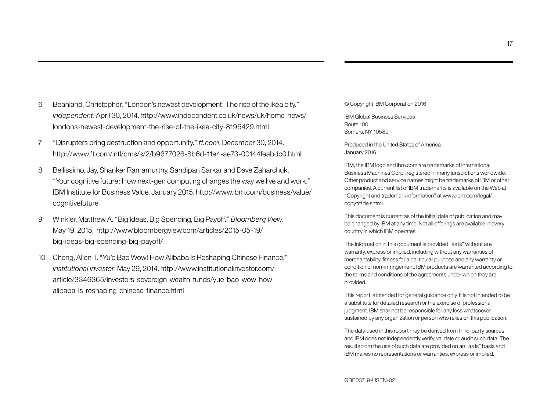- 6 Beanland, Christopher. "London's newest development: The rise of the Ikea city." *Independent*. April 30, 2014. http://www.independent.co.uk/news/uk/home-news/ londons-newest-development-the-rise-of-the-ikea-city-8196429.html
- 7 "Disrupters bring destruction and opportunity." *ft.com*. December 30, 2014. http://www.ft.com/intl/cms/s/2/b9677026-8b6d-11e4-ae73-00144feabdc0.html
- 8 Bellissimo, Jay, Shanker Ramamurthy, Sandipan Sarkar and Dave Zaharchuk. "Your cognitive future: How next-gen computing changes the way we live and work." IBM Institute for Business Value. January 2015. http://www.ibm.com/business/value/ cognitivefuture
- 9 Winkler, Matthew A. "Big Ideas, Big Spending, Big Payoff." *Bloomberg View.* May 19, 2015. http://www.bloombergview.com/articles/2015-05-19/ big-ideas-big-spending-big-payoff/
- 10 Cheng, Allen T. "Yu'e Bao Wow! How Alibaba Is Reshaping Chinese Finance." *Institutional Investor*. May 29, 2014. http://www.institutionalinvestor.com/ article/3346365/investors-sovereign-wealth-funds/yue-bao-wow-howalibaba-is-reshaping-chinese-finance.html

© Copyright IBM Corporation 2016

IBM Global Business Services Route 100 Somers, NY 10589

Produced in the United States of America January 2016

IBM, the IBM logo and ibm.com are trademarks of International Business Machines Corp., registered in many jurisdictions worldwide. Other product and service names might be trademarks of IBM or other companies. A current list of IBM trademarks is available on the Web at "Copyright and trademark information" at www.ibm.com/legal/ copytrade.shtml.

This document is current as of the initial date of publication and may be changed by IBM at any time. Not all offerings are available in every country in which IBM operates.

The information in this document is provided "as is" without any warranty, express or implied, including without any warranties of merchantability, fitness for a particular purpose and any warranty or condition of non-infringement. IBM products are warranted according to the terms and conditions of the agreements under which they are provided.

This report is intended for general guidance only. It is not intended to be a substitute for detailed research or the exercise of professional judgment. IBM shall not be responsible for any loss whatsoever sustained by any organization or person who relies on this publication.

The data used in this report may be derived from third-party sources and IBM does not independently verify, validate or audit such data. The results from the use of such data are provided on an "as is" basis and IBM makes no representations or warranties, express or implied.